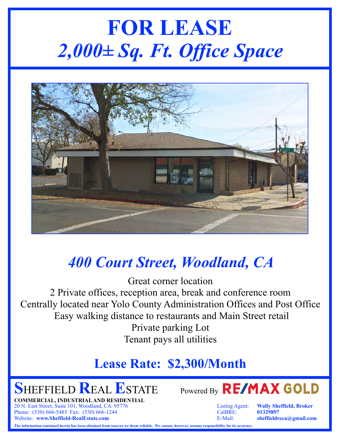# **FOR LEASE** *2,000± Sq. Ft. Office Space*



### *400 Court Street, Woodland, CA*

Great corner location 2 Private offices, reception area, break and conference room Centrally located near Yolo County Administration Offices and Post Office Easy walking distance to restaurants and Main Street retail Private parking Lot Tenant pays all utilities

#### **Lease Rate: \$2,300/Month**

**COMMERCIAL, INDUSTRIAL AND RESIDENTIAL** 20 N. East Street, Suite 101, Woodland, CA 95776 Listing Agent: **Wally Sheffield, Broker** Phone: (530) 666-5485 Fax: (530) 666-1244 CalBRE: **01329897** Website: **www.Sheffield-RealEstate.com** E-Mail: **sheffieldreca@gmail.com**



**The information contained herein has been obtained from sources we deem reliable. We cannot, however, assume responsibility for its accuracy.**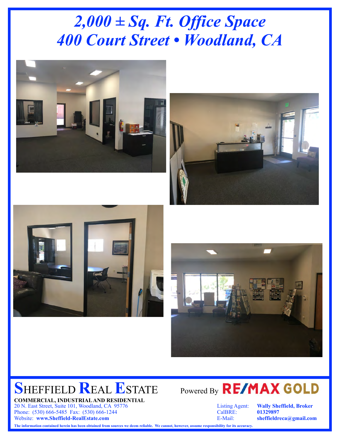## *2,000 ± Sq. Ft. Office Space 400 Court Street • Woodland, CA*









**COMMERCIAL, INDUSTRIAL AND RESIDENTIAL** 20 N. East Street, Suite 101, Woodland, CA 95776 Listing Agent: **Wally Sheffield, Broker** Phone: (530) 666-5485 Fax: (530) 666-1244 Website: **www.Sheffield-RealEstate.com** E-Mail: **sheffieldreca@gmail.com**



**The information contained herein has been obtained from sources we deem reliable. We cannot, however, assume responsibility for its accuracy.**